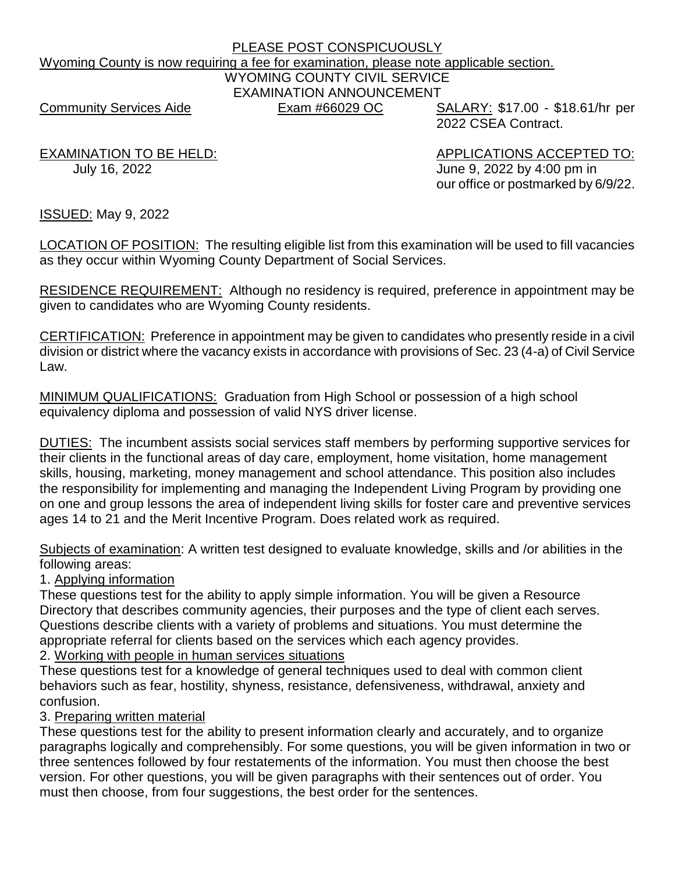# PLEASE POST CONSPICUOUSLY Wyoming County is now requiring a fee for examination, please note applicable section. WYOMING COUNTY CIVIL SERVICE EXAMINATION ANNOUNCEMENT Community Services Aide **Exam #66029 OC** SALARY: \$17.00 - \$18.61/hr per

2022 CSEA Contract.

EXAMINATION TO BE HELD: APPLICATIONS ACCEPTED TO: July 16, 2022 June 9, 2022 by 4:00 pm in our office or postmarked by 6/9/22.

ISSUED: May 9, 2022

LOCATION OF POSITION: The resulting eligible list from this examination will be used to fill vacancies as they occur within Wyoming County Department of Social Services.

RESIDENCE REQUIREMENT: Although no residency is required, preference in appointment may be given to candidates who are Wyoming County residents.

CERTIFICATION: Preference in appointment may be given to candidates who presently reside in a civil division or district where the vacancy exists in accordance with provisions of Sec. 23 (4-a) of Civil Service Law.

MINIMUM QUALIFICATIONS: Graduation from High School or possession of a high school equivalency diploma and possession of valid NYS driver license.

DUTIES: The incumbent assists social services staff members by performing supportive services for their clients in the functional areas of day care, employment, home visitation, home management skills, housing, marketing, money management and school attendance. This position also includes the responsibility for implementing and managing the Independent Living Program by providing one on one and group lessons the area of independent living skills for foster care and preventive services ages 14 to 21 and the Merit Incentive Program. Does related work as required.

Subjects of examination: A written test designed to evaluate knowledge, skills and /or abilities in the following areas:

1. Applying information

These questions test for the ability to apply simple information. You will be given a Resource Directory that describes community agencies, their purposes and the type of client each serves. Questions describe clients with a variety of problems and situations. You must determine the appropriate referral for clients based on the services which each agency provides.

2. Working with people in human services situations

These questions test for a knowledge of general techniques used to deal with common client behaviors such as fear, hostility, shyness, resistance, defensiveness, withdrawal, anxiety and confusion.

3. Preparing written material

These questions test for the ability to present information clearly and accurately, and to organize paragraphs logically and comprehensibly. For some questions, you will be given information in two or three sentences followed by four restatements of the information. You must then choose the best version. For other questions, you will be given paragraphs with their sentences out of order. You must then choose, from four suggestions, the best order for the sentences.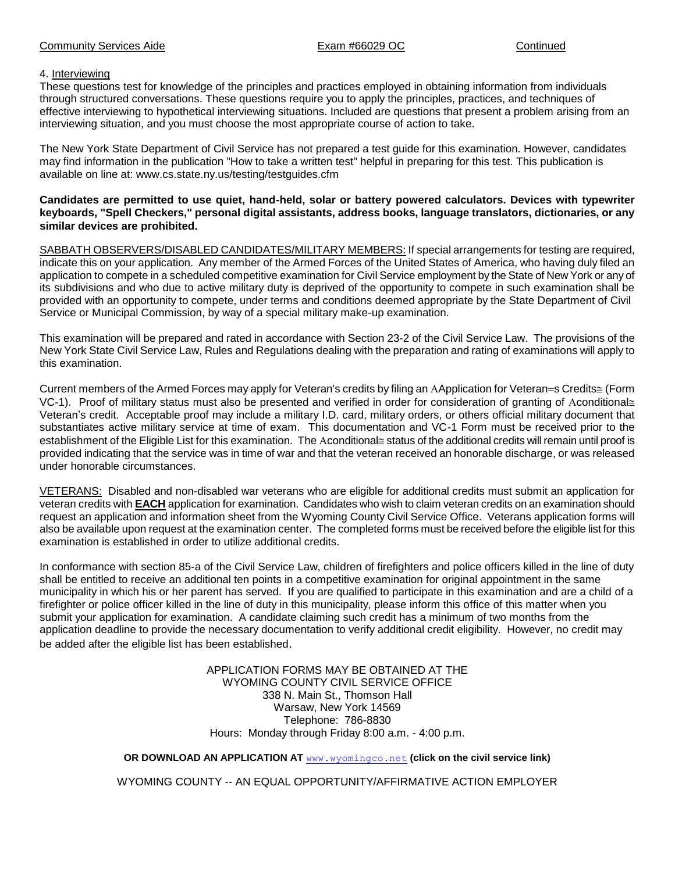### Community Services Aide **Exam #66029 OC** Continued Continued

### 4. Interviewing

These questions test for knowledge of the principles and practices employed in obtaining information from individuals through structured conversations. These questions require you to apply the principles, practices, and techniques of effective interviewing to hypothetical interviewing situations. Included are questions that present a problem arising from an interviewing situation, and you must choose the most appropriate course of action to take.

The New York State Department of Civil Service has not prepared a test guide for this examination. However, candidates may find information in the publication "How to take a written test" helpful in preparing for this test. This publication is available on line at: www.cs.state.ny.us/testing/testguides.cfm

**Candidates are permitted to use quiet, hand-held, solar or battery powered calculators. Devices with typewriter keyboards, "Spell Checkers," personal digital assistants, address books, language translators, dictionaries, or any similar devices are prohibited.**

SABBATH OBSERVERS/DISABLED CANDIDATES/MILITARY MEMBERS: If special arrangements for testing are required, indicate this on your application. Any member of the Armed Forces of the United States of America, who having duly filed an application to compete in a scheduled competitive examination for Civil Service employment by the State of New York or any of its subdivisions and who due to active military duty is deprived of the opportunity to compete in such examination shall be provided with an opportunity to compete, under terms and conditions deemed appropriate by the State Department of Civil Service or Municipal Commission, by way of a special military make-up examination.

This examination will be prepared and rated in accordance with Section 23-2 of the Civil Service Law. The provisions of the New York State Civil Service Law, Rules and Regulations dealing with the preparation and rating of examinations will apply to this examination.

Current members of the Armed Forces may apply for Veteran's credits by filing an AApplication for Veteran=s Credits 
ightarrow Corre VC-1). Proof of military status must also be presented and verified in order for consideration of granting of Aconditional $\equiv$ Veteran's credit. Acceptable proof may include a military I.D. card, military orders, or others official military document that substantiates active military service at time of exam. This documentation and VC-1 Form must be received prior to the establishment of the Eligible List for this examination. The Aconditional estatus of the additional credits will remain until proof is provided indicating that the service was in time of war and that the veteran received an honorable discharge, or was released under honorable circumstances.

VETERANS: Disabled and non-disabled war veterans who are eligible for additional credits must submit an application for veteran credits with **EACH** application for examination. Candidates who wish to claim veteran credits on an examination should request an application and information sheet from the Wyoming County Civil Service Office. Veterans application forms will also be available upon request at the examination center. The completed forms must be received before the eligible list for this examination is established in order to utilize additional credits.

In conformance with section 85-a of the Civil Service Law, children of firefighters and police officers killed in the line of duty shall be entitled to receive an additional ten points in a competitive examination for original appointment in the same municipality in which his or her parent has served. If you are qualified to participate in this examination and are a child of a firefighter or police officer killed in the line of duty in this municipality, please inform this office of this matter when you submit your application for examination. A candidate claiming such credit has a minimum of two months from the application deadline to provide the necessary documentation to verify additional credit eligibility. However, no credit may be added after the eligible list has been established.

> APPLICATION FORMS MAY BE OBTAINED AT THE WYOMING COUNTY CIVIL SERVICE OFFICE 338 N. Main St., Thomson Hall Warsaw, New York 14569 Telephone: 786-8830 Hours: Monday through Friday 8:00 a.m. - 4:00 p.m.

### **OR DOWNLOAD AN APPLICATION AT** [www.wyomingco.net](http://www.wyomingco.com/) **(click on the civil service link)**

WYOMING COUNTY -- AN EQUAL OPPORTUNITY/AFFIRMATIVE ACTION EMPLOYER